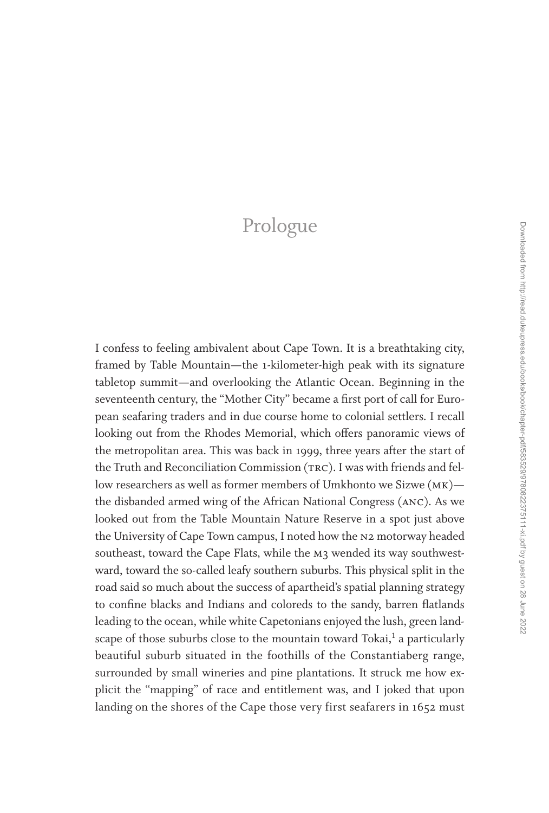## [Prologue](#page--1-0)

I confess to feeling ambivalent about Cape Town. It is a breathtaking city, framed by Table Mountain—the 1-kilometer-high peak with its signature tabletop summit—and overlooking the Atlantic Ocean. Beginning in the seventeenth century, the "Mother City" became a first port of call for European seafaring traders and in due course home to colonial settlers. I recall looking out from the Rhodes Memorial, which offers panoramic views of the metropolitan area. This was back in 1999, three years after the start of the Truth and Reconciliation Commission (TRC). I was with friends and fellow researchers as well as former members of Umkhonto we Sizwe (mk) the disbanded armed wing of the African National Congress (anc). As we looked out from the Table Mountain Nature Reserve in a spot just above the University of Cape Town campus, I noted how the n2 motorway headed southeast, toward the Cape Flats, while the M3 wended its way southwestward, toward the so-called leafy southern suburbs. This physical split in the road said so much about the success of apartheid's spatial planning strategy to confine blacks and Indians and coloreds to the sandy, barren flatlands leading to the ocean, while white Capetonians enjoyed the lush, green land-scape of those suburbs close to the mountain toward Tokai,<sup>[1](#page--1-0)</sup> a particularly beautiful suburb situated in the foothills of the Constantiaberg range, surrounded by small wineries and pine plantations. It struck me how explicit the "mapping" of race and entitlement was, and I joked that upon landing on the shores of the Cape those very first seafarers in 1652 must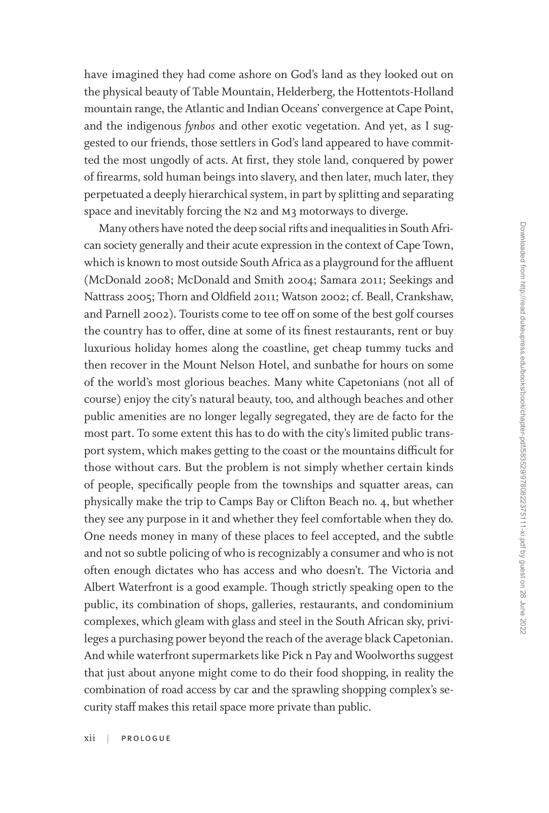have imagined they had come ashore on God's land as they looked out on the physical beauty of Table Mountain, Helderberg, the Hottentots-Holland mountain range, the Atlantic and Indian Oceans' convergence at Cape Point, and the indigenous *fynbos* and other exotic vegetation. And yet, as I suggested to our friends, those settlers in God's land appeared to have committed the most ungodly of acts. At first, they stole land, conquered by power of firearms, sold human beings into slavery, and then later, much later, they perpetuated a deeply hierarchical system, in part by splitting and separating space and inevitably forcing the N2 and M3 motorways to diverge.

Many others have noted the deep social rifts and inequalities in South African society generally and their acute expression in the context of Cape Town, which is known to most outside South Africa as a playground for the affluent (McDonald 2008; McDonald and Smith 2004; Samara 2011; Seekings and Nattrass 2005; Thorn and Oldfield 2011; Watson 2002; cf. Beall, Crankshaw, and Parnell 2002). Tourists come to tee off on some of the best golf courses the country has to offer, dine at some of its finest restaurants, rent or buy luxurious holiday homes along the coastline, get cheap tummy tucks and then recover in the Mount Nelson Hotel, and sunbathe for hours on some of the world's most glorious beaches. Many white Capetonians (not all of course) enjoy the city's natural beauty, too, and although beaches and other public amenities are no longer legally segregated, they are de facto for the most part. To some extent this has to do with the city's limited public transport system, which makes getting to the coast or the mountains difficult for those without cars. But the problem is not simply whether certain kinds of people, specifically people from the townships and squatter areas, can physically make the trip to Camps Bay or Clifton Beach no. 4, but whether they see any purpose in it and whether they feel comfortable when they do. One needs money in many of these places to feel accepted, and the subtle and not so subtle policing of who is recognizably a consumer and who is not often enough dictates who has access and who doesn't. The Victoria and Albert Waterfront is a good example. Though strictly speaking open to the public, its combination of shops, galleries, restaurants, and condominium complexes, which gleam with glass and steel in the South African sky, privileges a purchasing power beyond the reach of the average black Capetonian. And while waterfront supermarkets like Pick n Pay and Woolworths suggest that just about anyone might come to do their food shopping, in reality the combination of road access by car and the sprawling shopping complex's security staff makes this retail space more private than public.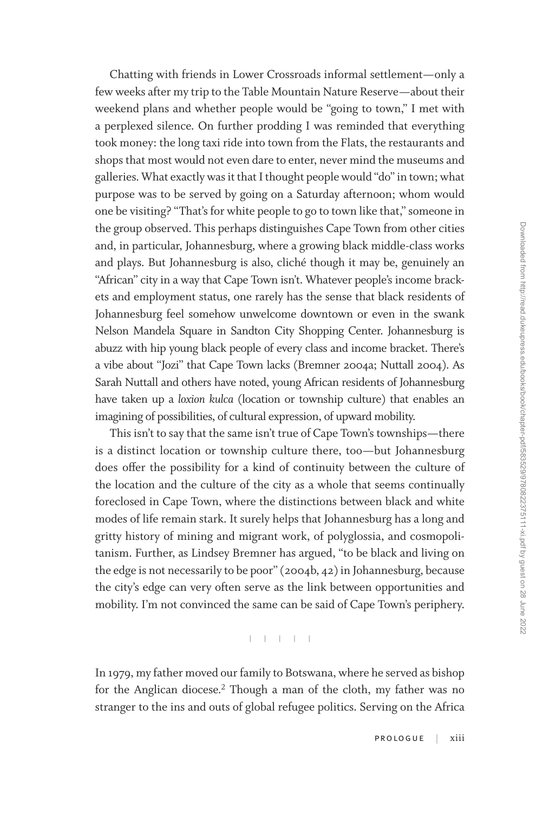Chatting with friends in Lower Crossroads informal settlement—only a few weeks after my trip to the Table Mountain Nature Reserve—about their weekend plans and whether people would be "going to town," I met with a perplexed silence. On further prodding I was reminded that everything took money: the long taxi ride into town from the Flats, the restaurants and shops that most would not even dare to enter, never mind the museums and galleries. What exactly was it that I thought people would "do" in town; what purpose was to be served by going on a Saturday afternoon; whom would one be visiting? "That's for white people to go to town like that," someone in the group observed. This perhaps distinguishes Cape Town from other cities and, in particular, Johannesburg, where a growing black middle-class works and plays. But Johannesburg is also, cliché though it may be, genuinely an "African" city in a way that Cape Town isn't. Whatever people's income brackets and employment status, one rarely has the sense that black residents of Johannesburg feel somehow unwelcome downtown or even in the swank Nelson Mandela Square in Sandton City Shopping Center. Johannesburg is abuzz with hip young black people of every class and income bracket. There's a vibe about "Jozi" that Cape Town lacks (Bremner 2004a; Nuttall 2004). As Sarah Nuttall and others have noted, young African residents of Johannesburg have taken up a *loxion kulca* (location or township culture) that enables an imagining of possibilities, of cultural expression, of upward mobility.

This isn't to say that the same isn't true of Cape Town's townships—there is a distinct location or township culture there, too—but Johannesburg does offer the possibility for a kind of continuity between the culture of the location and the culture of the city as a whole that seems continually foreclosed in Cape Town, where the distinctions between black and white modes of life remain stark. It surely helps that Johannesburg has a long and gritty history of mining and migrant work, of polyglossia, and cosmopolitanism. Further, as Lindsey Bremner has argued, "to be black and living on the edge is not necessarily to be poor" (2004b, 42) in Johannesburg, because the city's edge can very often serve as the link between opportunities and mobility. I'm not convinced the same can be said of Cape Town's periphery.

| | | | |

In 1979, my father moved our family to Botswana, where he served as bishop for the Anglican diocese.<sup>[2](#page--1-0)</sup> Though a man of the cloth, my father was no stranger to the ins and outs of global refugee politics. Serving on the Africa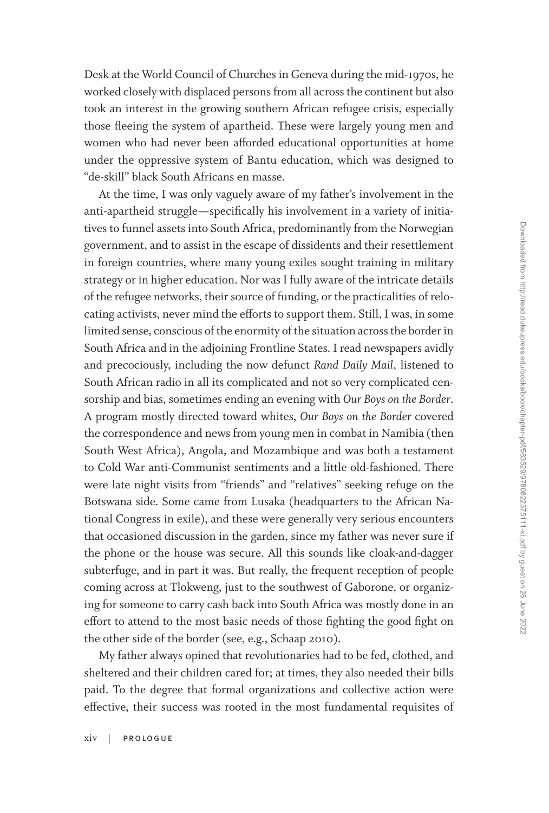Desk at the World Council of Churches in Geneva during the mid-1970s, he worked closely with displaced persons from all across the continent but also took an interest in the growing southern African refugee crisis, especially those fleeing the system of apartheid. These were largely young men and women who had never been afforded educational opportunities at home under the oppressive system of Bantu education, which was designed to "de-skill" black South Africans en masse.

At the time, I was only vaguely aware of my father's involvement in the anti-apartheid struggle—specifically his involvement in a variety of initiatives to funnel assets into South Africa, predominantly from the Norwegian government, and to assist in the escape of dissidents and their resettlement in foreign countries, where many young exiles sought training in military strategy or in higher education. Nor was I fully aware of the intricate details of the refugee networks, their source of funding, or the practicalities of relocating activists, never mind the efforts to support them. Still, I was, in some limited sense, conscious of the enormity of the situation across the border in South Africa and in the adjoining Frontline States. I read newspapers avidly and precociously, including the now defunct *Rand Daily Mail*, listened to South African radio in all its complicated and not so very complicated censorship and bias, sometimes ending an evening with *Our Boys on the Border*. A program mostly directed toward whites, *Our Boys on the Border* covered the correspondence and news from young men in combat in Namibia (then South West Africa), Angola, and Mozambique and was both a testament to Cold War anti-Communist sentiments and a little old-fashioned. There were late night visits from "friends" and "relatives" seeking refuge on the Botswana side. Some came from Lusaka (headquarters to the African National Congress in exile), and these were generally very serious encounters that occasioned discussion in the garden, since my father was never sure if the phone or the house was secure. All this sounds like cloak-and-dagger subterfuge, and in part it was. But really, the frequent reception of people coming across at Tlokweng, just to the southwest of Gaborone, or organizing for someone to carry cash back into South Africa was mostly done in an effort to attend to the most basic needs of those fighting the good fight on the other side of the border (see, e.g., Schaap 2010).

My father always opined that revolutionaries had to be fed, clothed, and sheltered and their children cared for; at times, they also needed their bills paid. To the degree that formal organizations and collective action were effective, their success was rooted in the most fundamental requisites of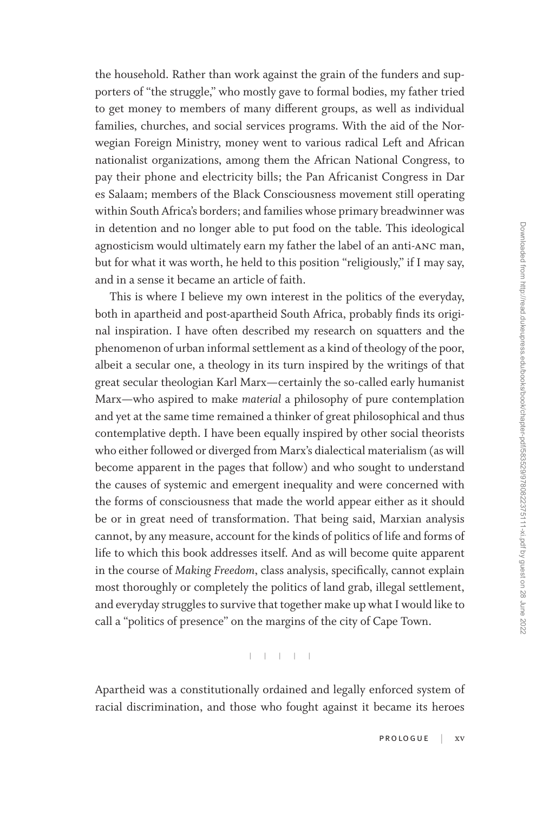the household. Rather than work against the grain of the funders and supporters of "the struggle," who mostly gave to formal bodies, my father tried to get money to members of many different groups, as well as individual families, churches, and social services programs. With the aid of the Norwegian Foreign Ministry, money went to various radical Left and African nationalist organizations, among them the African National Congress, to pay their phone and electricity bills; the Pan Africanist Congress in Dar es Salaam; members of the Black Consciousness movement still operating within South Africa's borders; and families whose primary breadwinner was in detention and no longer able to put food on the table. This ideological agnosticism would ultimately earn my father the label of an anti-anc man, but for what it was worth, he held to this position "religiously," if I may say, and in a sense it became an article of faith.

This is where I believe my own interest in the politics of the everyday, both in apartheid and post-apartheid South Africa, probably finds its original inspiration. I have often described my research on squatters and the phenomenon of urban informal settlement as a kind of theology of the poor, albeit a secular one, a theology in its turn inspired by the writings of that great secular theologian Karl Marx—certainly the so-called early humanist Marx—who aspired to make *material* a philosophy of pure contemplation and yet at the same time remained a thinker of great philosophical and thus contemplative depth. I have been equally inspired by other social theorists who either followed or diverged from Marx's dialectical materialism (as will become apparent in the pages that follow) and who sought to understand the causes of systemic and emergent inequality and were concerned with the forms of consciousness that made the world appear either as it should be or in great need of transformation. That being said, Marxian analysis cannot, by any measure, account for the kinds of politics of life and forms of life to which this book addresses itself. And as will become quite apparent in the course of *Making Freedom*, class analysis, specifically, cannot explain most thoroughly or completely the politics of land grab, illegal settlement, and everyday struggles to survive that together make up what I would like to call a "politics of presence" on the margins of the city of Cape Town.

| | | | |

Apartheid was a constitutionally ordained and legally enforced system of racial discrimination, and those who fought against it became its heroes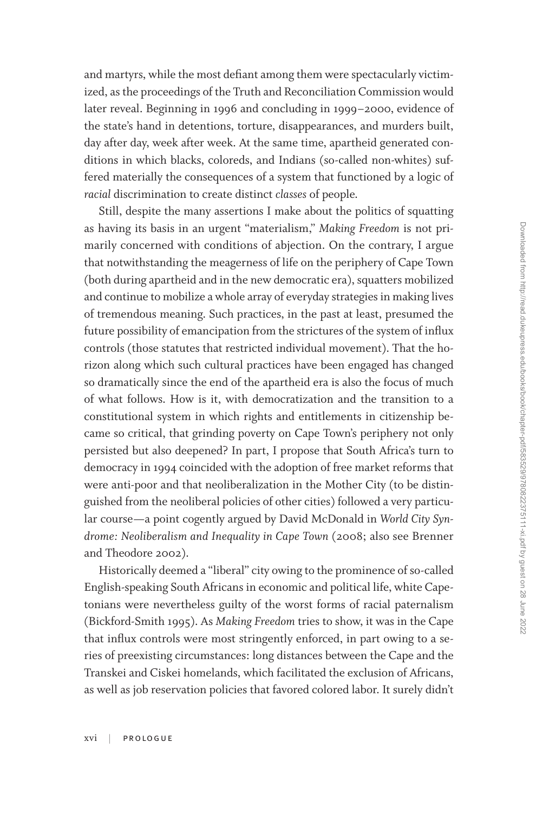and martyrs, while the most defiant among them were spectacularly victimized, as the proceedings of the Truth and Reconciliation Commission would later reveal. Beginning in 1996 and concluding in 1999–2000, evidence of the state's hand in detentions, torture, disappearances, and murders built, day after day, week after week. At the same time, apartheid generated conditions in which blacks, coloreds, and Indians (so-called non-whites) suffered materially the consequences of a system that functioned by a logic of *racial* discrimination to create distinct *classes* of people.

Still, despite the many assertions I make about the politics of squatting as having its basis in an urgent "materialism," *Making Freedom* is not primarily concerned with conditions of abjection. On the contrary, I argue that notwithstanding the meagerness of life on the periphery of Cape Town (both during apartheid and in the new democratic era), squatters mobilized and continue to mobilize a whole array of everyday strategies in making lives of tremendous meaning. Such practices, in the past at least, presumed the future possibility of emancipation from the strictures of the system of influx controls (those statutes that restricted individual movement). That the horizon along which such cultural practices have been engaged has changed so dramatically since the end of the apartheid era is also the focus of much of what follows. How is it, with democratization and the transition to a constitutional system in which rights and entitlements in citizenship became so critical, that grinding poverty on Cape Town's periphery not only persisted but also deepened? In part, I propose that South Africa's turn to democracy in 1994 coincided with the adoption of free market reforms that were anti-poor and that neoliberalization in the Mother City (to be distinguished from the neoliberal policies of other cities) followed a very particular course—a point cogently argued by David McDonald in *World City Syndrome: Neoliberalism and Inequality in Cape Town* (2008; also see Brenner and Theodore 2002).

Historically deemed a "liberal" city owing to the prominence of so-called English-speaking South Africans in economic and political life, white Capetonians were nevertheless guilty of the worst forms of racial paternalism (Bickford-Smith 1995). As *Making Freedom* tries to show, it was in the Cape that influx controls were most stringently enforced, in part owing to a series of preexisting circumstances: long distances between the Cape and the Transkei and Ciskei homelands, which facilitated the exclusion of Africans, as well as job reservation policies that favored colored labor. It surely didn't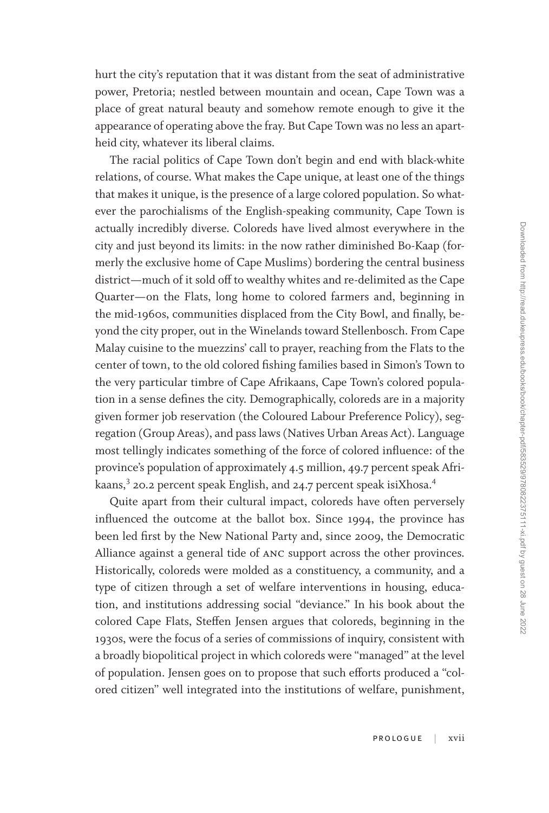hurt the city's reputation that it was distant from the seat of administrative power, Pretoria; nestled between mountain and ocean, Cape Town was a place of great natural beauty and somehow remote enough to give it the appearance of operating above the fray. But Cape Town was no less an apartheid city, whatever its liberal claims.

The racial politics of Cape Town don't begin and end with black-white relations, of course. What makes the Cape unique, at least one of the things that makes it unique, is the presence of a large colored population. So whatever the parochialisms of the English-speaking community, Cape Town is actually incredibly diverse. Coloreds have lived almost everywhere in the city and just beyond its limits: in the now rather diminished Bo-Kaap (formerly the exclusive home of Cape Muslims) bordering the central business district—much of it sold off to wealthy whites and re-delimited as the Cape Quarter—on the Flats, long home to colored farmers and, beginning in the mid-1960s, communities displaced from the City Bowl, and finally, beyond the city proper, out in the Winelands toward Stellenbosch. From Cape Malay cuisine to the muezzins' call to prayer, reaching from the Flats to the center of town, to the old colored fishing families based in Simon's Town to the very particular timbre of Cape Afrikaans, Cape Town's colored population in a sense defines the city. Demographically, coloreds are in a majority given former job reservation (the Coloured Labour Preference Policy), segregation (Group Areas), and pass laws (Natives Urban Areas Act). Language most tellingly indicates something of the force of colored influence: of the province's population of approximately 4.5 million, 49.7 percent speak Afri-kaans,<sup>[3](#page--1-0)</sup> 20.2 percent speak English, and 2[4](#page--1-0).7 percent speak isiXhosa.<sup>4</sup>

Quite apart from their cultural impact, coloreds have often perversely influenced the outcome at the ballot box. Since 1994, the province has been led first by the New National Party and, since 2009, the Democratic Alliance against a general tide of anc support across the other provinces. Historically, coloreds were molded as a constituency, a community, and a type of citizen through a set of welfare interventions in housing, education, and institutions addressing social "deviance." In his book about the colored Cape Flats, Steffen Jensen argues that coloreds, beginning in the 1930s, were the focus of a series of commissions of inquiry, consistent with a broadly biopolitical project in which coloreds were "managed" at the level of population. Jensen goes on to propose that such efforts produced a "colored citizen" well integrated into the institutions of welfare, punishment,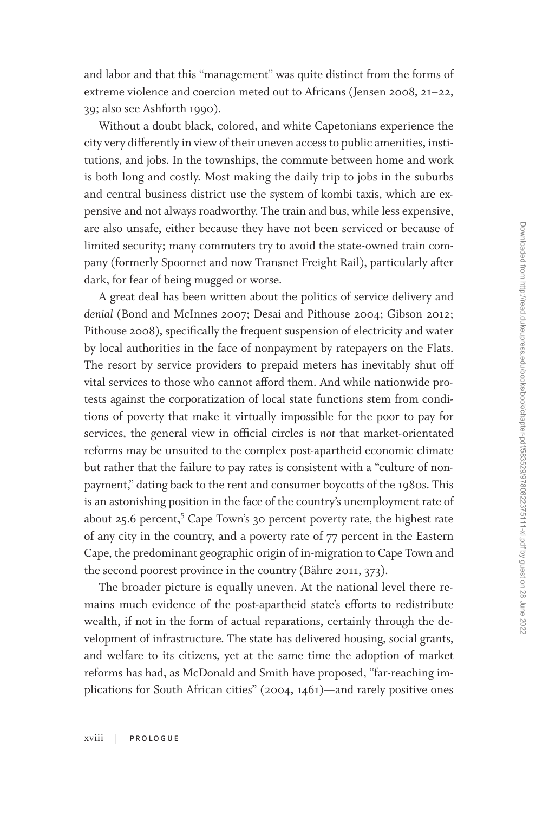and labor and that this "management" was quite distinct from the forms of extreme violence and coercion meted out to Africans (Jensen 2008, 21–22, 39; also see Ashforth 1990).

Without a doubt black, colored, and white Capetonians experience the city very differently in view of their uneven access to public amenities, institutions, and jobs. In the townships, the commute between home and work is both long and costly. Most making the daily trip to jobs in the suburbs and central business district use the system of kombi taxis, which are expensive and not always roadworthy. The train and bus, while less expensive, are also unsafe, either because they have not been serviced or because of limited security; many commuters try to avoid the state-owned train company (formerly Spoornet and now Transnet Freight Rail), particularly after dark, for fear of being mugged or worse.

A great deal has been written about the politics of service delivery and *denial* (Bond and McInnes 2007; Desai and Pithouse 2004; Gibson 2012; Pithouse 2008), specifically the frequent suspension of electricity and water by local authorities in the face of nonpayment by ratepayers on the Flats. The resort by service providers to prepaid meters has inevitably shut off vital services to those who cannot afford them. And while nationwide protests against the corporatization of local state functions stem from conditions of poverty that make it virtually impossible for the poor to pay for services, the general view in official circles is *not* that market-orientated reforms may be unsuited to the complex post-apartheid economic climate but rather that the failure to pay rates is consistent with a "culture of nonpayment," dating back to the rent and consumer boycotts of the 1980s. This is an astonishing position in the face of the country's unemployment rate of about 2[5](#page--1-0).6 percent,<sup>5</sup> Cape Town's 30 percent poverty rate, the highest rate of any city in the country, and a poverty rate of 77 percent in the Eastern Cape, the predominant geographic origin of in-migration to Cape Town and the second poorest province in the country (Bähre 2011, 373).

The broader picture is equally uneven. At the national level there remains much evidence of the post-apartheid state's efforts to redistribute wealth, if not in the form of actual reparations, certainly through the development of infrastructure. The state has delivered housing, social grants, and welfare to its citizens, yet at the same time the adoption of market reforms has had, as McDonald and Smith have proposed, "far-reaching implications for South African cities" (2004, 1461)—and rarely positive ones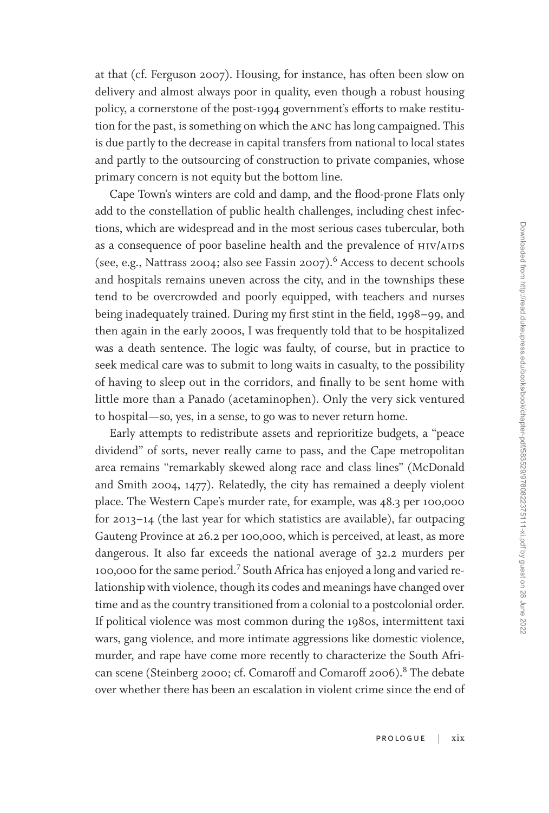at that (cf. Ferguson 2007). Housing, for instance, has often been slow on delivery and almost always poor in quality, even though a robust housing policy, a cornerstone of the post-1994 government's efforts to make restitution for the past, is something on which the anc has long campaigned. This is due partly to the decrease in capital transfers from national to local states and partly to the outsourcing of construction to private companies, whose primary concern is not equity but the bottom line.

Cape Town's winters are cold and damp, and the flood-prone Flats only add to the constellation of public health challenges, including chest infections, which are widespread and in the most serious cases tubercular, both as a consequence of poor baseline health and the prevalence of HIV/AIDS (see, e.g., Nattrass 2004; also see Fassin 2007).<sup>[6](#page--1-0)</sup> Access to decent schools and hospitals remains uneven across the city, and in the townships these tend to be overcrowded and poorly equipped, with teachers and nurses being inadequately trained. During my first stint in the field, 1998–99, and then again in the early 2000s, I was frequently told that to be hospitalized was a death sentence. The logic was faulty, of course, but in practice to seek medical care was to submit to long waits in casualty, to the possibility of having to sleep out in the corridors, and finally to be sent home with little more than a Panado (acetaminophen). Only the very sick ventured to hospital—so, yes, in a sense, to go was to never return home.

Early attempts to redistribute assets and reprioritize budgets, a "peace dividend" of sorts, never really came to pass, and the Cape metropolitan area remains "remarkably skewed along race and class lines" (McDonald and Smith 2004, 1477). Relatedly, the city has remained a deeply violent place. The Western Cape's murder rate, for example, was 48.3 per 100,000 for 2013–14 (the last year for which statistics are available), far outpacing Gauteng Province at 26.2 per 100,000, which is perceived, at least, as more dangerous. It also far exceeds the national average of 32.2 murders per 100,000 for the same period.<sup>[7](#page--1-0)</sup> South Africa has enjoyed a long and varied relationship with violence, though its codes and meanings have changed over time and as the country transitioned from a colonial to a postcolonial order. If political violence was most common during the 1980s, intermittent taxi wars, gang violence, and more intimate aggressions like domestic violence, murder, and rape have come more recently to characterize the South Afri-can scene (Steinberg 2000; cf. Comaroff and Comaroff 2006).<sup>[8](#page--1-0)</sup> The debate over whether there has been an escalation in violent crime since the end of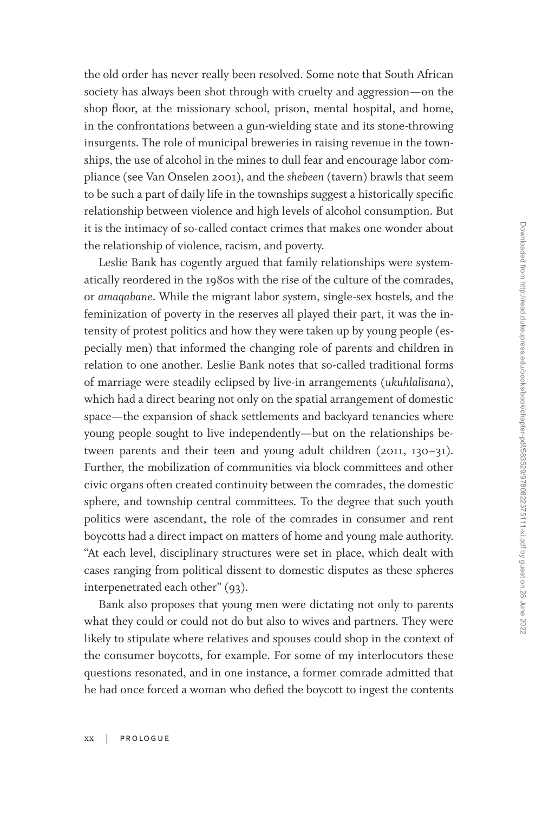the old order has never really been resolved. Some note that South African society has always been shot through with cruelty and aggression—on the shop floor, at the missionary school, prison, mental hospital, and home, in the confrontations between a gun-wielding state and its stone-throwing insurgents. The role of municipal breweries in raising revenue in the townships, the use of alcohol in the mines to dull fear and encourage labor compliance (see Van Onselen 2001), and the *shebeen* (tavern) brawls that seem to be such a part of daily life in the townships suggest a historically specific relationship between violence and high levels of alcohol consumption. But it is the intimacy of so-called contact crimes that makes one wonder about the relationship of violence, racism, and poverty.

Leslie Bank has cogently argued that family relationships were systematically reordered in the 1980s with the rise of the culture of the comrades, or *amaqabane*. While the migrant labor system, single-sex hostels, and the feminization of poverty in the reserves all played their part, it was the intensity of protest politics and how they were taken up by young people (especially men) that informed the changing role of parents and children in relation to one another. Leslie Bank notes that so-called traditional forms of marriage were steadily eclipsed by live-in arrangements (*ukuhlalisana*), which had a direct bearing not only on the spatial arrangement of domestic space—the expansion of shack settlements and backyard tenancies where young people sought to live independently—but on the relationships between parents and their teen and young adult children (2011, 130–31). Further, the mobilization of communities via block committees and other civic organs often created continuity between the comrades, the domestic sphere, and township central committees. To the degree that such youth politics were ascendant, the role of the comrades in consumer and rent boycotts had a direct impact on matters of home and young male authority. "At each level, disciplinary structures were set in place, which dealt with cases ranging from political dissent to domestic disputes as these spheres interpenetrated each other" (93).

Bank also proposes that young men were dictating not only to parents what they could or could not do but also to wives and partners. They were likely to stipulate where relatives and spouses could shop in the context of the consumer boycotts, for example. For some of my interlocutors these questions resonated, and in one instance, a former comrade admitted that he had once forced a woman who defied the boycott to ingest the contents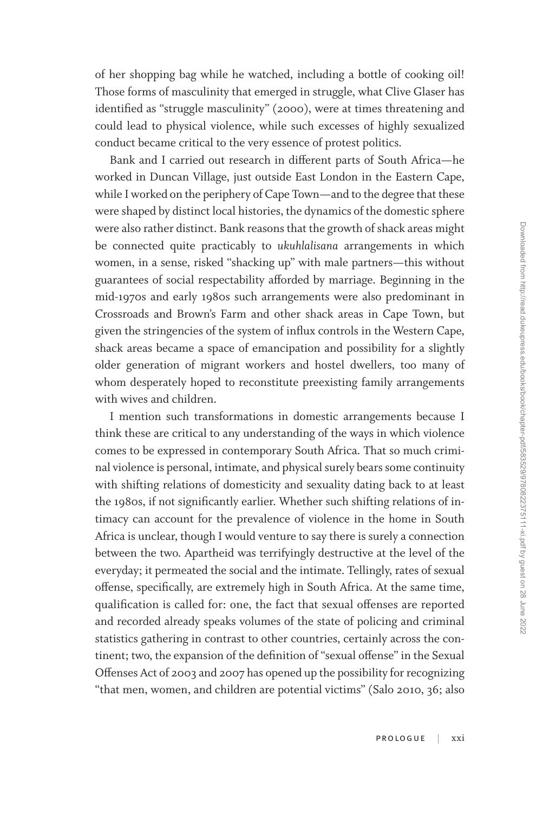of her shopping bag while he watched, including a bottle of cooking oil! Those forms of masculinity that emerged in struggle, what Clive Glaser has identified as "struggle masculinity" (2000), were at times threatening and could lead to physical violence, while such excesses of highly sexualized conduct became critical to the very essence of protest politics.

Bank and I carried out research in different parts of South Africa—he worked in Duncan Village, just outside East London in the Eastern Cape, while I worked on the periphery of Cape Town—and to the degree that these were shaped by distinct local histories, the dynamics of the domestic sphere were also rather distinct. Bank reasons that the growth of shack areas might be connected quite practicably to *ukuhlalisana* arrangements in which women, in a sense, risked "shacking up" with male partners—this without guarantees of social respectability afforded by marriage. Beginning in the mid-1970s and early 1980s such arrangements were also predominant in Crossroads and Brown's Farm and other shack areas in Cape Town, but given the stringencies of the system of influx controls in the Western Cape, shack areas became a space of emancipation and possibility for a slightly older generation of migrant workers and hostel dwellers, too many of whom desperately hoped to reconstitute preexisting family arrangements with wives and children.

I mention such transformations in domestic arrangements because I think these are critical to any understanding of the ways in which violence comes to be expressed in contemporary South Africa. That so much criminal violence is personal, intimate, and physical surely bears some continuity with shifting relations of domesticity and sexuality dating back to at least the 1980s, if not significantly earlier. Whether such shifting relations of intimacy can account for the prevalence of violence in the home in South Africa is unclear, though I would venture to say there is surely a connection between the two. Apartheid was terrifyingly destructive at the level of the everyday; it permeated the social and the intimate. Tellingly, rates of sexual offense, specifically, are extremely high in South Africa. At the same time, qualification is called for: one, the fact that sexual offenses are reported and recorded already speaks volumes of the state of policing and criminal statistics gathering in contrast to other countries, certainly across the continent; two, the expansion of the definition of "sexual offense" in the Sexual Offenses Act of 2003 and 2007 has opened up the possibility for recognizing "that men, women, and children are potential victims" (Salo 2010, 36; also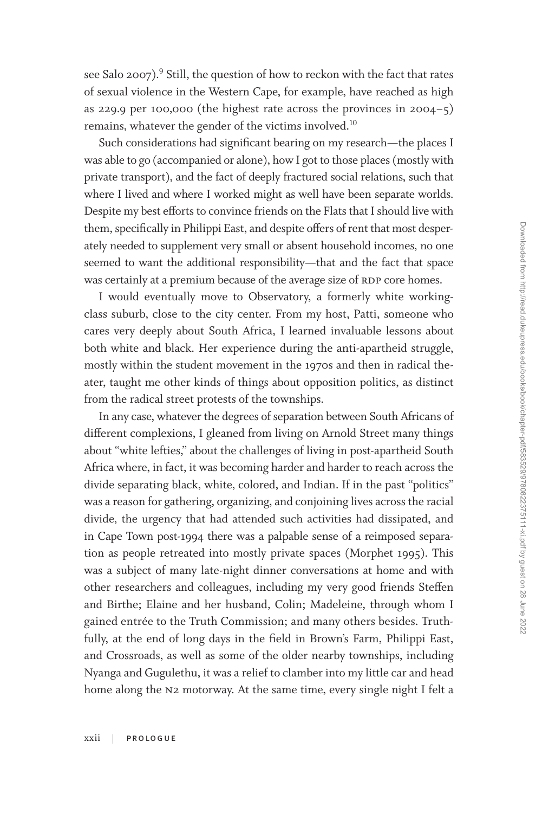see Salo 2007).<sup>[9](#page--1-0)</sup> Still, the question of how to reckon with the fact that rates of sexual violence in the Western Cape, for example, have reached as high as 229.9 per 100,000 (the highest rate across the provinces in 2004–5) remains, whatever the gender of the victims involved.<sup>10</sup>

Such considerations had significant bearing on my research—the places I was able to go (accompanied or alone), how I got to those places (mostly with private transport), and the fact of deeply fractured social relations, such that where I lived and where I worked might as well have been separate worlds. Despite my best efforts to convince friends on the Flats that I should live with them, specifically in Philippi East, and despite offers of rent that most desperately needed to supplement very small or absent household incomes, no one seemed to want the additional responsibility—that and the fact that space was certainly at a premium because of the average size of RDP core homes.

I would eventually move to Observatory, a formerly white workingclass suburb, close to the city center. From my host, Patti, someone who cares very deeply about South Africa, I learned invaluable lessons about both white and black. Her experience during the anti-apartheid struggle, mostly within the student movement in the 1970s and then in radical theater, taught me other kinds of things about opposition politics, as distinct from the radical street protests of the townships.

In any case, whatever the degrees of separation between South Africans of different complexions, I gleaned from living on Arnold Street many things about "white lefties," about the challenges of living in post-apartheid South Africa where, in fact, it was becoming harder and harder to reach across the divide separating black, white, colored, and Indian. If in the past "politics" was a reason for gathering, organizing, and conjoining lives across the racial divide, the urgency that had attended such activities had dissipated, and in Cape Town post-1994 there was a palpable sense of a reimposed separation as people retreated into mostly private spaces (Morphet 1995). This was a subject of many late-night dinner conversations at home and with other researchers and colleagues, including my very good friends Steffen and Birthe; Elaine and her husband, Colin; Madeleine, through whom I gained entrée to the Truth Commission; and many others besides. Truthfully, at the end of long days in the field in Brown's Farm, Philippi East, and Crossroads, as well as some of the older nearby townships, including Nyanga and Gugulethu, it was a relief to clamber into my little car and head home along the N2 motorway. At the same time, every single night I felt a